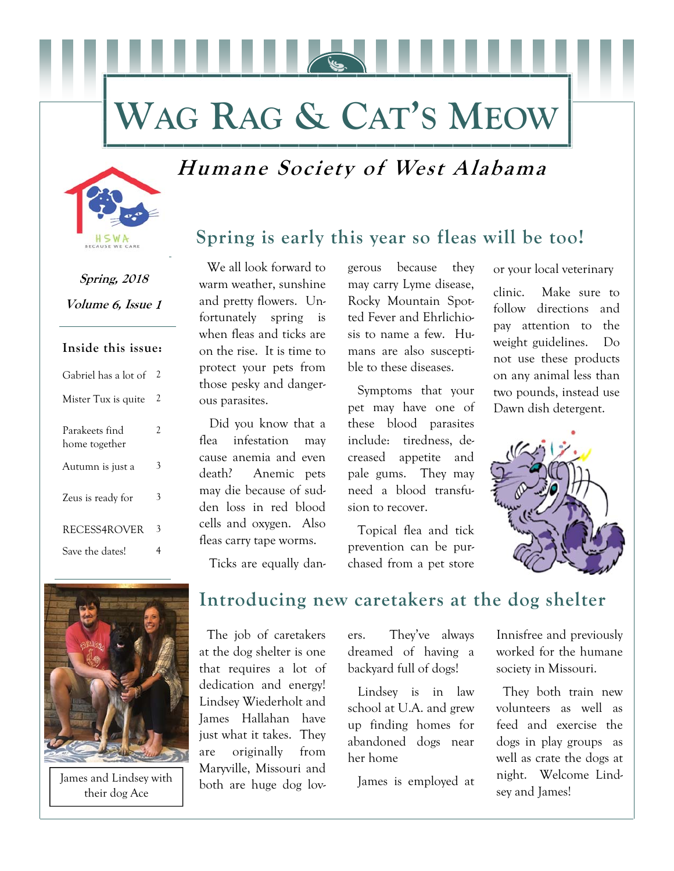# **WAG RAG & CAT'S MEOW**

## **Humane Society of West Alabama**



**Spring, 2018**  Volume 6, Issue 1

### **Inside this issue:**

| Gabriel has a lot of            | 2 |
|---------------------------------|---|
| Mister Tux is quite             | 2 |
| Parakeets find<br>home together | 2 |
| Autumn is just a                | 3 |
| Zeus is ready for               | 3 |
| RECESS4ROVER                    | 3 |
| Save the dates!                 |   |

 We all look forward to warm weather, sunshine and pretty flowers. Unfortunately spring is when fleas and ticks are on the rise. It is time to protect your pets from those pesky and dangerous parasites.

 Did you know that a flea infestation may cause anemia and even death? Anemic pets may die because of sudden loss in red blood cells and oxygen. Also fleas carry tape worms.

gerous because they may carry Lyme disease, Rocky Mountain Spotted Fever and Ehrlichiosis to name a few. Humans are also susceptible to these diseases.

 Symptoms that your pet may have one of these blood parasites include: tiredness, decreased appetite and pale gums. They may need a blood transfusion to recover.

 Topical flea and tick prevention can be purchased from a pet store

or your local veterinary

clinic. Make sure to follow directions and pay attention to the weight guidelines. Do not use these products on any animal less than two pounds, instead use Dawn dish detergent.



Ticks are equally dan-



James and Lindsey with their dog Ace

### **Introducing new caretakers at the dog shelter**

 The job of caretakers at the dog shelter is one that requires a lot of dedication and energy! Lindsey Wiederholt and James Hallahan have just what it takes. They are originally from Maryville, Missouri and both are huge dog lovers. They've always dreamed of having a backyard full of dogs!

 Lindsey is in law school at U.A. and grew up finding homes for abandoned dogs near her home

James is employed at

Innisfree and previously worked for the humane society in Missouri.

 They both train new volunteers as well as feed and exercise the dogs in play groups as well as crate the dogs at night. Welcome Lindsey and James!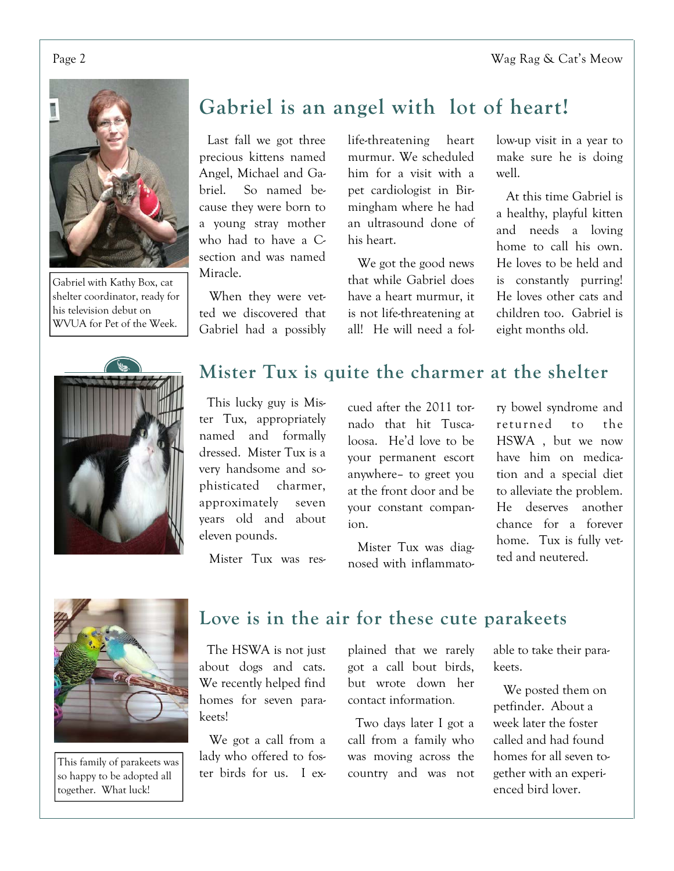Page 2 No. 2 Wag Rag & Cat's Meow



Gabriel with Kathy Box, cat shelter coordinator, ready for his television debut on WVUA for Pet of the Week.

## **Gabriel is an angel with lot of heart!**

 Last fall we got three precious kittens named Angel, Michael and Gabriel. So named because they were born to a young stray mother who had to have a Csection and was named Miracle.

 When they were vetted we discovered that Gabriel had a possibly life-threatening heart murmur. We scheduled him for a visit with a pet cardiologist in Birmingham where he had an ultrasound done of his heart.

 We got the good news that while Gabriel does have a heart murmur, it is not life-threatening at all! He will need a follow-up visit in a year to make sure he is doing well.

 At this time Gabriel is a healthy, playful kitten and needs a loving home to call his own. He loves to be held and is constantly purring! He loves other cats and children too. Gabriel is eight months old.



## **Mister Tux is quite the charmer at the shelter**

 This lucky guy is Mister Tux, appropriately named and formally dressed. Mister Tux is a very handsome and sophisticated charmer, approximately seven years old and about eleven pounds.

cued after the 2011 tornado that hit Tuscaloosa. He'd love to be your permanent escort anywhere– to greet you at the front door and be your constant companion.

nosed with inflammato-

ry bowel syndrome and returned to the HSWA , but we now have him on medication and a special diet to alleviate the problem. He deserves another chance for a forever home. Tux is fully vetted and neutered.



Mister Tux was diag-



This family of parakeets was so happy to be adopted all together. What luck!

### **Love is in the air for these cute parakeets**

 The HSWA is not just about dogs and cats. We recently helped find homes for seven parakeets!

 We got a call from a lady who offered to foster birds for us. I explained that we rarely got a call bout birds, but wrote down her contact information.

 Two days later I got a call from a family who was moving across the country and was not able to take their parakeets.

 We posted them on petfinder. About a week later the foster called and had found homes for all seven together with an experienced bird lover.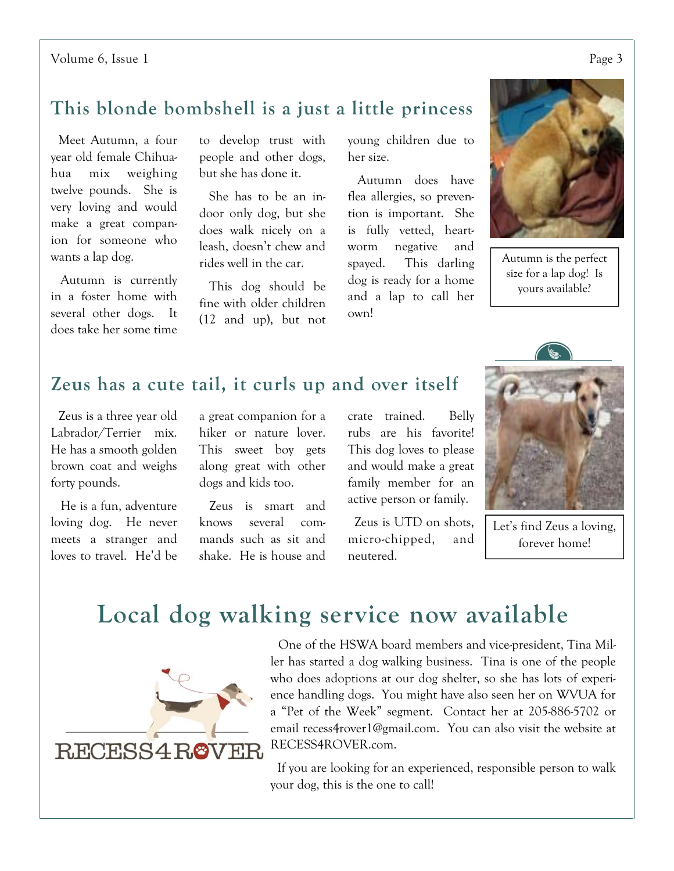## **This blonde bombshell is a just a little princess**

 Meet Autumn, a four year old female Chihuahua mix weighing twelve pounds. She is very loving and would make a great companion for someone who wants a lap dog.

 Autumn is currently in a foster home with several other dogs. It does take her some time to develop trust with people and other dogs, but she has done it.

 She has to be an indoor only dog, but she does walk nicely on a leash, doesn't chew and rides well in the car.

 This dog should be fine with older children (12 and up), but not young children due to her size.

 Autumn does have flea allergies, so prevention is important. She is fully vetted, heartworm negative and spayed. This darling dog is ready for a home and a lap to call her own!



Autumn is the perfect size for a lap dog! Is yours available?

## **Zeus has a cute tail, it curls up and over itself**

 Zeus is a three year old Labrador/Terrier mix. He has a smooth golden brown coat and weighs forty pounds.

 He is a fun, adventure loving dog. He never meets a stranger and loves to travel. He'd be a great companion for a hiker or nature lover. This sweet boy gets along great with other dogs and kids too.

 Zeus is smart and knows several commands such as sit and shake. He is house and

crate trained. Belly rubs are his favorite! This dog loves to please and would make a great family member for an active person or family.

 Zeus is UTD on shots, micro-chipped, and neutered.



Let's find Zeus a loving, forever home!

## **Local dog walking service now available**



 One of the HSWA board members and vice-president, Tina Miller has started a dog walking business. Tina is one of the people who does adoptions at our dog shelter, so she has lots of experience handling dogs. You might have also seen her on WVUA for a "Pet of the Week" segment. Contact her at 205-886-5702 or email recess4rover1@gmail.com. You can also visit the website at RECESS4ROVER.com.

 If you are looking for an experienced, responsible person to walk your dog, this is the one to call!